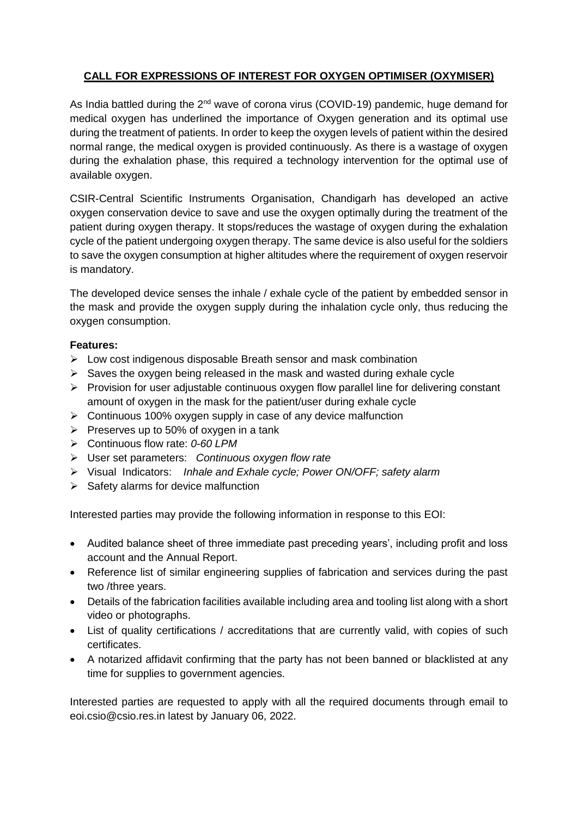## **CALL FOR EXPRESSIONS OF INTEREST FOR OXYGEN OPTIMISER (OXYMISER)**

As India battled during the 2<sup>nd</sup> wave of corona virus (COVID-19) pandemic, huge demand for medical oxygen has underlined the importance of Oxygen generation and its optimal use during the treatment of patients. In order to keep the oxygen levels of patient within the desired normal range, the medical oxygen is provided continuously. As there is a wastage of oxygen during the exhalation phase, this required a technology intervention for the optimal use of available oxygen.

CSIR-Central Scientific Instruments Organisation, Chandigarh has developed an active oxygen conservation device to save and use the oxygen optimally during the treatment of the patient during oxygen therapy. It stops/reduces the wastage of oxygen during the exhalation cycle of the patient undergoing oxygen therapy. The same device is also useful for the soldiers to save the oxygen consumption at higher altitudes where the requirement of oxygen reservoir is mandatory.

The developed device senses the inhale / exhale cycle of the patient by embedded sensor in the mask and provide the oxygen supply during the inhalation cycle only, thus reducing the oxygen consumption.

#### **Features:**

- $\triangleright$  Low cost indigenous disposable Breath sensor and mask combination
- $\triangleright$  Saves the oxygen being released in the mask and wasted during exhale cycle
- $\triangleright$  Provision for user adjustable continuous oxygen flow parallel line for delivering constant amount of oxygen in the mask for the patient/user during exhale cycle
- $\triangleright$  Continuous 100% oxygen supply in case of any device malfunction
- $\triangleright$  Preserves up to 50% of oxygen in a tank
- Continuous flow rate: *0-60 LPM*
- User set parameters: *Continuous oxygen flow rate*
- Visual Indicators: *Inhale and Exhale cycle; Power ON/OFF; safety alarm*
- $\triangleright$  Safety alarms for device malfunction

Interested parties may provide the following information in response to this EOI:

- Audited balance sheet of three immediate past preceding years', including profit and loss account and the Annual Report.
- Reference list of similar engineering supplies of fabrication and services during the past two /three years.
- Details of the fabrication facilities available including area and tooling list along with a short video or photographs.
- List of quality certifications / accreditations that are currently valid, with copies of such certificates.
- A notarized affidavit confirming that the party has not been banned or blacklisted at any time for supplies to government agencies.

Interested parties are requested to apply with all the required documents through email to eoi.csio@csio.res.in latest by January 06, 2022.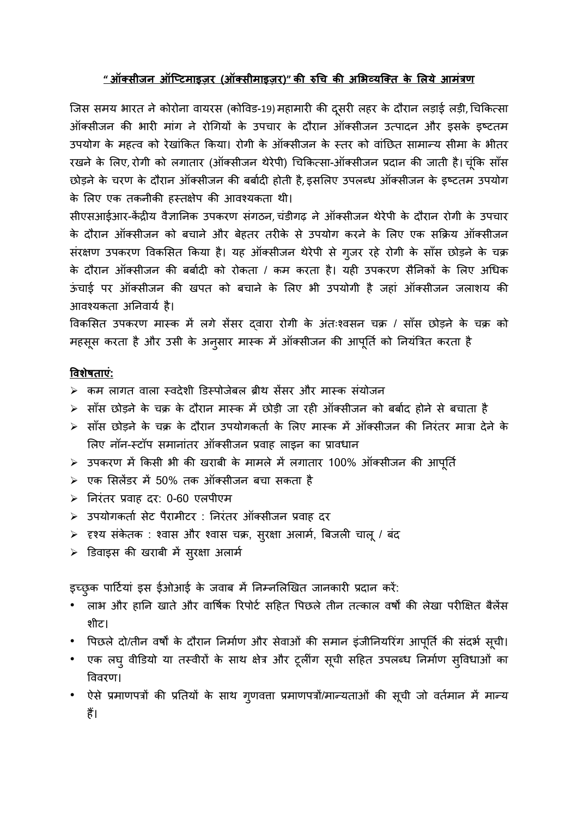### **" ऑक्सीजन ऑप्टिमाइज़र (ऑक्सीमाइज़र)" की रुचि की अभिव्यप्क्ि के भिये आमंत्रण**

जिस समय भारत ने कोरोना वायरस (कोविड-19) महामारी की दूसरी लहर के दौरान लड़ाई लड़ी, चिकित्सा ऑक्सीजन की भारी मांग ने रोगियों के उपचार के दौरान ऑक्सीजन उत्पादन और इसके इष्टतम उपयोग के महत्व को रेखांकित किया। रोगी के ऑक्सीजन के स्तर को वांछित सामान्य सीमा के भीतर रखने के लिए, रोगी को लगातार (ऑक्सीजन थेरेपी) चिकित्सा-ऑक्सीजन प्रदान की जाती है। चुंकि साँस छोड़ने के चरण के दौरान ऑक्सीजन की बर्बादी होती है, इसलिए उपलब्ध ऑक्सीजन के इष्टतम उपयोग के लिए एक तकनीकी हस्तक्षेप की आवश्यकता थी।

सीएसआईआर-केंद्रीय वैज्ञानिक उपकरण संगठन, चंडीगढ़ ने ऑक्सीजन थेरेपी के दौरान रोगी के उपचार के दौरान ऑक्सीजन को बचाने और बेहतर तरीके से उपयोग करने के लिए एक सक्रिय ऑक्सीजन संरक्षण उपकरण विकसित किया है। यह ऑक्सीजन थेरेपी से ग़जर रहे रोगी के साँस छोड़ने के चक्र के दौरान ऑक्सीजन की बर्बादी को रोकता / कम करता है। यही उपकरण सैनिकों के लिए अधिक ऊंचाई पर ऑक्सीजन की खपत को बचाने के लिए भी उपयोगी है जहां ऑक्सीजन जलाशय की आवश्यकता अनिवार्य है।

विकसित उपकरण मास्क में लगे सेंसर दवारा रोगी के अंतःश्वसन चक्र / साँस छोड़ने के चक्र को महसूस करता है और उसी के अनुसार मास्क में ऑक्सीजन की आपूर्ति को नियंत्रित करता है

#### **विशेषिाएं:**

- $\triangleright$  कम लागत वाला स्वदेशी डिस्पोजेबल ब्रीथ सेंसर और मास्क संयोजन
- $\blacktriangleright$  साँस छोड़ने के चक्र के दौरान मास्क में छोड़ी जा रही ऑक्सीजन को बर्बाद होने से बचाता है
- $\triangleright$  साँस छोड़ने के चक्र के दौरान उपयोगकर्ता के लिए मास्क में ऑक्सीजन की निरंतर मात्रा देने के लिए नॉन-स्टॉप समानांतर ऑक्सीजन प्रवाह लाइन का प्रावधान
- $>$  उपकरण में किसी भी की खराबी के मामले में लगातार 100% ऑक्सीजन की आपूर्ति
- $\triangleright$  एक सिलेंडर में 50% तक ऑक्सीजन बचा सकता है
- $\triangleright$  निरंतर प्रवाह दर: 0-60 एलपीएम
- ≻ उपयोगकर्ता सेट पैरामीटर : निरंतर ऑक्सीजन प्रवाह दर
- $\triangleright$  हश्य संकेतक : श्वास और श्वास चक्र, सुरक्षा अलार्म, बिजली चालू / बंद
- डडवाइस की खराब़ी में सरुक्षा अलामा

इच्छुक पार्टियां इस ईओआई के जवाब में निम्नलिखित जानकारी प्रदान करें:

- लाभ और हानि खाते और वार्षिक रिपोर्ट सहित पिछले तीन तत्काल वर्षों की लेखा परीक्षित बैलेंस श़ीट।
- पिछले दो/तीन वर्षों के दौरान निर्माण और सेवाओं की समान इंजीनियरिंग आपूर्ति की संदर्भ सूची।
- एक लघु वीडियो या तस्वीरों के साथ क्षेत्र और टूलींग सूची सहित उपलब्ध निर्माण सुविधाओं का वववरण।
- ऐसे प्रमाणपत्रों की प्रतियों के साथ गुणवत्ता प्रमाणपत्रों/मान्यताओं की सूची जो वर्तमान में मान्य हैं।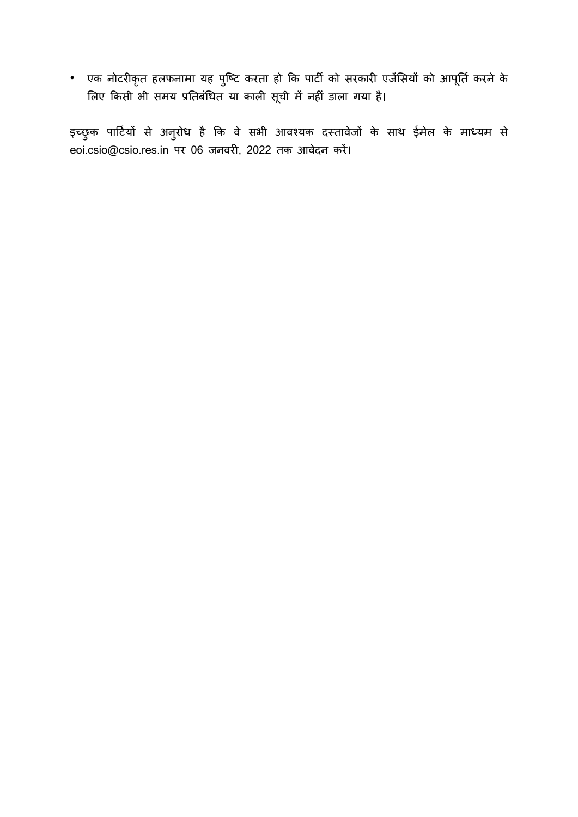• एक नोटरीकृत हलफनामा यह पुष्टि करता हो कि पार्टी को सरकारी एजेंसियों को आपूर्ति करने के लिए किसी भी समय प्रतिबंधित या काली सूची में नहीं डाला गया है।

इच्छुक पार्टियों से अनुरोध है कि वे सभी आवश्यक दस्तावेजों के साथ ईमेल के माध्यम से eoi.csio@csio.res.in पर 06 जनवरी, 2022 तक आवेदन करें।